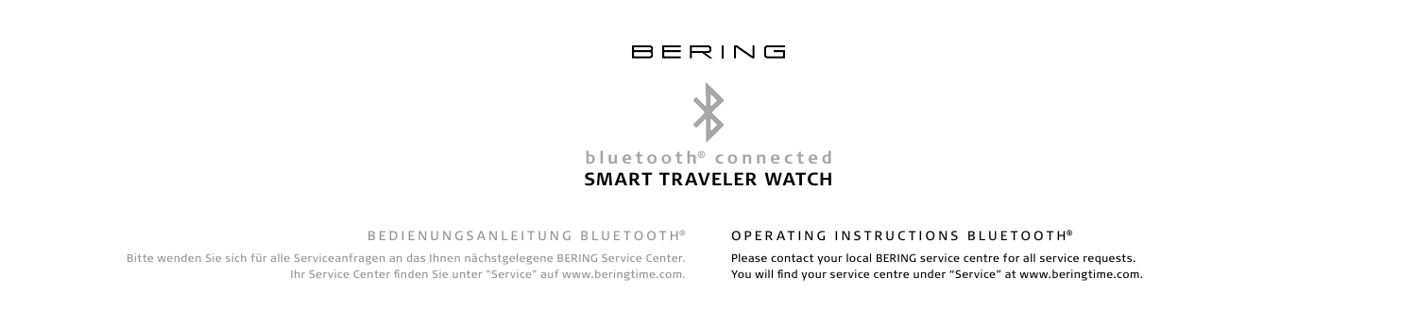



#### B E D I E N UNGSANI EITUNG BLUETOOTH®

Bitte wenden Sie sich für alle Serviceanfragen an das Ihnen nächstgelegene BERING Service Center. Ihr Service Center finden Sie unter "Service" auf www.beringtime.com.

#### OPERATING INSTRUCTIONS BLUETOOTH®

Please contact your local BERING service centre for all service requests. You will find your service centre under "Service" at www.beringtime.com.